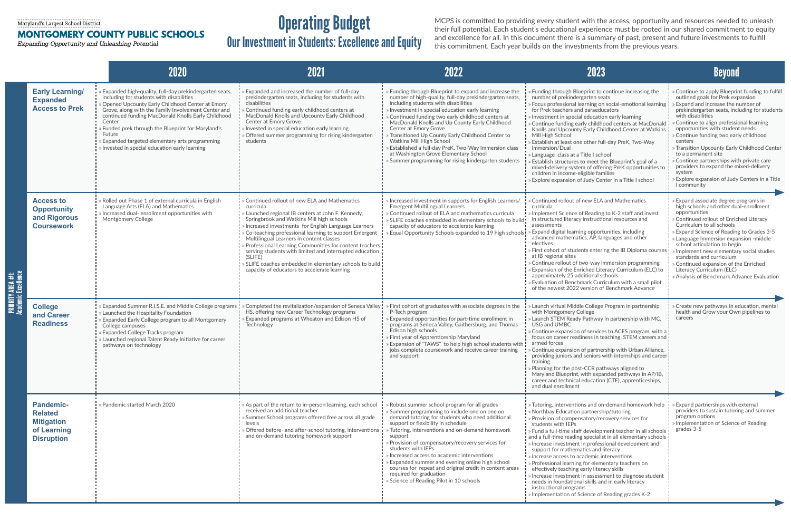## Maryland's Largest School District

## MONTGOMERY COUNTY PUBLIC SCHOOLS

Expanding Opportunity and Unleashing Potential

|                                                  |                                                                                             | 2020                                                                                                                                                                                                                                                                                                                                                                                                                                                  | 2021                                                                                                                                                                                                                                                                                                                                                                                                                                                                                                                                                                      | 2022                                                                                                                                                                                                                                                                                                                                                                                                                                                                                                                                                                                         | 2023                                                                                                                                                                                                                                                                                                                                                                                                                                                                                                                                                                                                                                                                                                                                                                                                                      | <b>Beyond</b>                                                                                                                                                                                                                                                                                                                                                                                                                                                                                                                                                                   |
|--------------------------------------------------|---------------------------------------------------------------------------------------------|-------------------------------------------------------------------------------------------------------------------------------------------------------------------------------------------------------------------------------------------------------------------------------------------------------------------------------------------------------------------------------------------------------------------------------------------------------|---------------------------------------------------------------------------------------------------------------------------------------------------------------------------------------------------------------------------------------------------------------------------------------------------------------------------------------------------------------------------------------------------------------------------------------------------------------------------------------------------------------------------------------------------------------------------|----------------------------------------------------------------------------------------------------------------------------------------------------------------------------------------------------------------------------------------------------------------------------------------------------------------------------------------------------------------------------------------------------------------------------------------------------------------------------------------------------------------------------------------------------------------------------------------------|---------------------------------------------------------------------------------------------------------------------------------------------------------------------------------------------------------------------------------------------------------------------------------------------------------------------------------------------------------------------------------------------------------------------------------------------------------------------------------------------------------------------------------------------------------------------------------------------------------------------------------------------------------------------------------------------------------------------------------------------------------------------------------------------------------------------------|---------------------------------------------------------------------------------------------------------------------------------------------------------------------------------------------------------------------------------------------------------------------------------------------------------------------------------------------------------------------------------------------------------------------------------------------------------------------------------------------------------------------------------------------------------------------------------|
| <b>PRIORITY AREA #1:<br/>Academic Excellence</b> | <b>Early Learning/</b><br><b>Expanded</b><br><b>Access to Prek</b>                          | » Expanded high-quality, full-day prekindergarten seats,<br>including for students with disabilities<br>» Opened Upcounty Early Childhood Center at Emory<br>Grove, along with the Family Involvement Center and<br>continued funding MacDonald Knolls Early Childhood<br>Center<br>» Funded prek through the Blueprint for Maryland's<br>Future<br>» Expanded targeted elementary arts programming<br>» Invested in special education early learning | » Expanded and increased the number of full-day<br>prekindergarten seats, including for students with<br>disabilities<br>» Continued funding early childhood centers at<br>MacDonald Knolls and Upcounty Early Childhood<br>Center at Emory Grove<br>» Invested in special education early learning<br>» Offered summer programming for rising kindergarten<br>students                                                                                                                                                                                                   | » Funding through Blueprint to expand and increase the<br>number of high-quality, full-day prekindergarten seats,<br>including students with disabilities<br>» Investment in special education early learning<br>» Continued funding two early childhood centers at<br>MacDonald Knolls and Up County Early Childhood<br>Center at Emory Grove<br>» Transitioned Up County Early Childhood Center to<br>Watkins Mill High School<br>» Established a full-day PreK, Two-Way Immersion class<br>at Washington Grove Elementary School<br>» Summer programming for rising kindergarten students | » Funding through Blueprint to continue increasing the<br>number of prekindergarten seats<br>» Focus professional learning on social-emotional learning<br>for Prek teachers and paraeducators<br>» Investment in special education early learning<br>» Continue funding early childhood centers at MacDonald<br>Knolls and Upcounty Early Childhood Center at Watkins<br>Mill High School<br>» Establish at least one other full-day PreK, Two-Way<br>Immersion/Dual<br>» Language class at a Title I school<br>» Establish structures to meet the Blueprint's goal of a<br>mixed-delivery system of offering PreK opportunities to<br>children in income-eligible families<br>» Explore expansion of Judy Center in a Title I school                                                                                    | Continue to apply Blueprint funding to fulfil<br>outlined goals for Prek expansion<br><b>Expand and increase the number of</b><br>prekindergarten seats, including for students<br>with disabilities<br>Continue to align professional learning<br>opportunities with student needs<br>» Continue funding two early childhood<br>centers<br>» Transition Upcounty Early Childhood Center<br>to a permanent site<br>» Continue partnerships with private care<br>providers to expand the mixed-delivery<br>system<br>Explore expansion of Judy Centers in a Title<br>I community |
|                                                  | <b>Access to</b><br><b>Opportunity</b><br>and Rigorous<br><b>Coursework</b>                 | » Rolled out Phase 1 of external curricula in English<br>Language Arts (ELA) and Mathematics<br>» Increased dual- enrollment opportunities with<br><b>Montgomery College</b>                                                                                                                                                                                                                                                                          | » Continued rollout of new ELA and Mathematics<br>curricula<br>Launched regional IB centers at John F. Kennedy,<br>Springbrook and Watkins Mill high schools<br>» Increased investments for English Language Learners<br>» Co-teaching professional learning to support Emergent<br>Multilingual Learners in content classes<br>» Professional Learning Communities for content teachers<br>serving students with limited and interrupted education<br>(SLIFE)<br>» SLIFE coaches embedded in elementary schools to build<br>capacity of educators to accelerate learning | » Increased investment in supports for English Learners/<br><b>Emergent Multilingual Learners</b><br>» Continued rollout of ELA and mathematics curricula<br>» SLIFE coaches embedded in elementary schools to build!<br>capacity of educators to accelerate learning<br>» Equal Opportunity Schools expanded to 19 high schools!                                                                                                                                                                                                                                                            | Continued rollout of new ELA and Mathematics<br>curricula<br>Implement Science of Reading to K-2 staff and invest<br>in structured literacy instructional resources and<br>assessments<br>» Expand digital learning opportunities, including<br>advanced mathematics, AP, languages and other<br>electives<br>» First cohort of students entering the IB Diploma course<br>at IB regional sites<br>» Continue rollout of two-way immersion programming<br>» Expansion of the Enriched Literacy Curriculum (ELC) to<br>approximately 25 additional schools<br>» Evaluation of Benchmark Curriculum with a small pilot<br>of the newest 2022 version of Benchmark Advance                                                                                                                                                   | » Expand associate degree programs in<br>high schools and other dual-enrollment<br>opportunities<br>» Continued rollout of Enriched Literacy<br>Curriculum to all schools<br>» Expand Science of Reading to Grades 3-5<br>» Language Immersion expansion -middle<br>school articulation to begin<br>» Implement new elementary social studies<br>standards and curriculum<br>» Continued expansion of the Enriched<br>Literacy Curriculum (ELC)<br>» Analysis of Benchmark Advance Evaluation                                                                                   |
|                                                  | <b>College</b><br>and Career<br><b>Readiness</b>                                            | » Expanded Summer R.I.S.E. and Middle College programs<br>$\frac{1}{2}$ » Launched the Hospitality Foundation<br>» Expanded Early College program to all Montgomery<br>College campuses<br>» Expanded College Tracks program<br>$\frac{1}{2}$ » Launched regional Talent Ready Initiative for career<br>pathways on technology                                                                                                                        | » Completed the revitalization/expansion of Seneca Valley<br>HS, offering new Career Technology programs<br><b>Expanded programs at Wheaton and Edison HS of</b><br>Technology                                                                                                                                                                                                                                                                                                                                                                                            | » First cohort of graduates with associate degrees in the<br>P-Tech program<br>» Expanded opportunities for part-time enrollment in<br>programs at Seneca Valley, Gaithersburg, and Thomas<br>Edison high schools<br>» First year of Apprenticeship Maryland<br>» Expansion of "TAWS" to help high school students with  <br>jobs complete coursework and receive career training<br>and support                                                                                                                                                                                             | Launch virtual Middle College Program in partnership<br>with Montgomery College<br>» Launch STEM Ready Pathway in partnership with MC,<br>USG and UMBC<br>» Continue expansion of services to ACES program, with a<br>focus on career readiness in teaching, STEM careers and<br>armed forces<br>» Continue expansion of partnership with Urban Alliance,<br>providing juniors and seniors with internships and career<br>training<br>> Planning for the post-CCR pathways aligned to<br>Maryland Blueprint, with expanded pathways in AP/IB,<br>career and technical education (CTE), apprenticeships,<br>and dual enrollment                                                                                                                                                                                            | Create new pathways in education, mental<br>health and Grow your Own pipelines to<br>careers                                                                                                                                                                                                                                                                                                                                                                                                                                                                                    |
|                                                  | <b>Pandemic-</b><br><b>Related</b><br><b>Mitigation</b><br>of Learning<br><b>Disruption</b> | » Pandemic started March 2020                                                                                                                                                                                                                                                                                                                                                                                                                         | » As part of the return to in-person learning, each school<br>received an additional teacher<br>» Summer School programs offered free across all grade<br>levels<br>» Offered before- and after-school tutoring, interventions<br>and on-demand tutoring homework support                                                                                                                                                                                                                                                                                                 | » Robust summer school program for all grades<br>» Summer programming to include one on one on<br>demand tutoring for students who need additional<br>support or flexibility in schedule<br>» Tutoring, interventions and on-demand homework<br>support<br>» Provision of compensatory/recovery services for<br>students with IEPs<br>» Increased access to academic interventions<br>» Expanded summer and evening online high school<br>courses for repeat and original credit in content areas<br>required for graduation<br>» Science of Reading Pilot in 10 schools                     | » Tutoring, interventions and on-demand homework help<br>» Northbay Education partnership/tutoring<br>» Provision of compensatory/recovery services for<br>students with IEPs<br>» Fund a full-time staff development teacher in all schools !<br>$\frac{1}{2}$ and a full-time reading specialist in all elementary schools $\frac{1}{2}$<br>$\frac{1}{2}$ » Increase investment in professional development and<br>support for mathematics and literacy<br>$\mathsf{I}$ » Increase access to academic interventions<br>» Professional learning for elementary teachers on<br>effectively teaching early literacy skills<br>» Increase investment in assessment to diagnose student<br>needs in foundational skills and in early literacy<br>instructional programs<br>» Implementation of Science of Reading grades K-2 | Expand partnerships with external<br>providers to sustain tutoring and summer<br>program options<br>» Implementation of Science of Reading<br>grades 3-5                                                                                                                                                                                                                                                                                                                                                                                                                        |

## Operating Budget

Our Investment in Students: Excellence and Equity

MCPS is committed to providing every student with the access, opportunity and resources needed to unleash their full potential. Each student's educational experience must be rooted in our shared commitment to equity and excellence for all. In this document there is a summary of past, present and future investments to fulfill this commitment. Each year builds on the investments from the previous years.